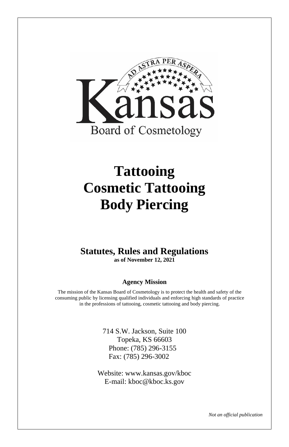

# **Tattooing Cosmetic Tattooing Body Piercing**

### **Statutes, Rules and Regulations as of November 12, 2021**

### **Agency Mission**

The mission of the Kansas Board of Cosmetology is to protect the health and safety of the consuming public by licensing qualified individuals and enforcing high standards of practice in the professions of tattooing, cosmetic tattooing and body piercing.

> 714 S.W. Jackson, Suite 100 Topeka, KS 66603 Phone: (785) 296-3155 Fax: (785) 296-3002

Website: www.kansas.gov/kboc E-mail: kboc@kboc.ks.gov

*Not an official publication*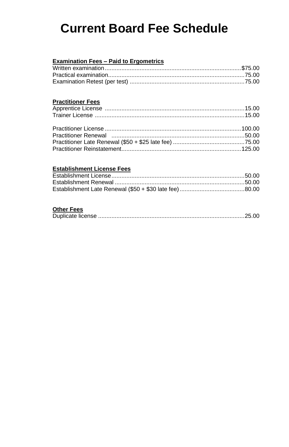## **Current Board Fee Schedule**

#### **Examination Fees – Paid to Ergometrics**

### **Practitioner Fees**

#### **Establishment License Fees**

### **Other Fees**

| ---------- |  |
|------------|--|
|            |  |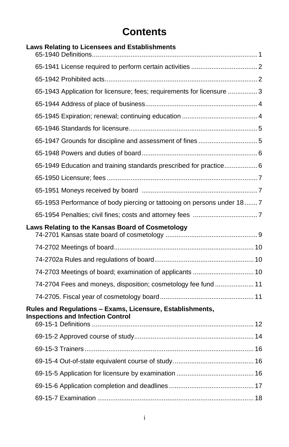### **Contents**

| Laws Relating to Licensees and Establishments                            |  |
|--------------------------------------------------------------------------|--|
|                                                                          |  |
|                                                                          |  |
|                                                                          |  |
| 65-1943 Application for licensure; fees; requirements for licensure  3   |  |
|                                                                          |  |
|                                                                          |  |
|                                                                          |  |
|                                                                          |  |
|                                                                          |  |
| 65-1949 Education and training standards prescribed for practice 6       |  |
|                                                                          |  |
|                                                                          |  |
| 65-1953 Performance of body piercing or tattooing on persons under 18  7 |  |
|                                                                          |  |
|                                                                          |  |
| Laws Relating to the Kansas Board of Cosmetology                         |  |
|                                                                          |  |
|                                                                          |  |
|                                                                          |  |
| 74-2703 Meetings of board; examination of applicants  10                 |  |
| 74-2704 Fees and moneys, disposition; cosmetology fee fund  11           |  |
|                                                                          |  |
| Rules and Regulations - Exams, Licensure, Establishments,                |  |
| <b>Inspections and Infection Control</b>                                 |  |
|                                                                          |  |
|                                                                          |  |
|                                                                          |  |
|                                                                          |  |
|                                                                          |  |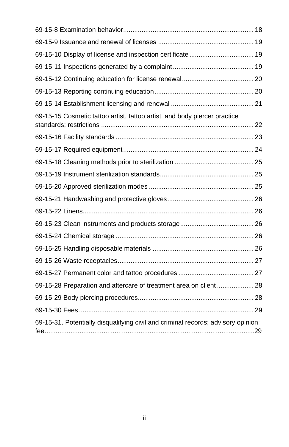| 69-15-10 Display of license and inspection certificate  19                        |  |
|-----------------------------------------------------------------------------------|--|
|                                                                                   |  |
|                                                                                   |  |
|                                                                                   |  |
|                                                                                   |  |
| 69-15-15 Cosmetic tattoo artist, tattoo artist, and body piercer practice         |  |
|                                                                                   |  |
|                                                                                   |  |
|                                                                                   |  |
|                                                                                   |  |
|                                                                                   |  |
|                                                                                   |  |
|                                                                                   |  |
|                                                                                   |  |
|                                                                                   |  |
|                                                                                   |  |
|                                                                                   |  |
|                                                                                   |  |
| 69-15-28 Preparation and aftercare of treatment area on client  28                |  |
|                                                                                   |  |
|                                                                                   |  |
| 69-15-31. Potentially disqualifying civil and criminal records; advisory opinion; |  |
|                                                                                   |  |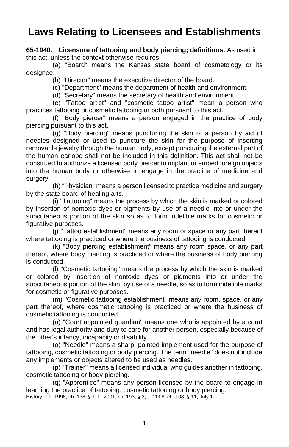### **Laws Relating to Licensees and Establishments**

**65-1940. Licensure of tattooing and body piercing; definitions.** As used in this act, unless the context otherwise requires:

(a) "Board" means the Kansas state board of cosmetology or its designee.

(b) "Director" means the executive director of the board.

(c) "Department" means the department of health and environment.

(d) "Secretary" means the secretary of health and environment.

(e) "Tattoo artist" and "cosmetic tattoo artist" mean a person who practices tattooing or cosmetic tattooing or both pursuant to this act.

(f) "Body piercer" means a person engaged in the practice of body piercing pursuant to this act.

(g) "Body piercing" means puncturing the skin of a person by aid of needles designed or used to puncture the skin for the purpose of inserting removable jewelry through the human body, except puncturing the external part of the human earlobe shall not be included in this definition. This act shall not be construed to authorize a licensed body piercer to implant or embed foreign objects into the human body or otherwise to engage in the practice of medicine and surgery.

(h) "Physician" means a person licensed to practice medicine and surgery by the state board of healing arts.

(i) "Tattooing" means the process by which the skin is marked or colored by insertion of nontoxic dyes or pigments by use of a needle into or under the subcutaneous portion of the skin so as to form indelible marks for cosmetic or figurative purposes.

(j) "Tattoo establishment" means any room or space or any part thereof where tattooing is practiced or where the business of tattooing is conducted.

(k) "Body piercing establishment" means any room space, or any part thereof, where body piercing is practiced or where the business of body piercing is conducted.

(l) "Cosmetic tattooing" means the process by which the skin is marked or colored by insertion of nontoxic dyes or pigments into or under the subcutaneous portion of the skin, by use of a needle, so as to form indelible marks for cosmetic or figurative purposes.

(m) "Cosmetic tattooing establishment" means any room, space, or any part thereof, where cosmetic tattooing is practiced or where the business of cosmetic tattooing is conducted.

(n) "Court appointed guardian" means one who is appointed by a court and has legal authority and duty to care for another person, especially because of the other's infancy, incapacity or disability.

(o) "Needle" means a sharp, pointed implement used for the purpose of tattooing, cosmetic tattooing or body piercing. The term "needle" does not include any implements or objects altered to be used as needles.

(p) "Trainer" means a licensed individual who guides another in tattooing, cosmetic tattooing or body piercing.

(q) "Apprentice" means any person licensed by the board to engage in learning the practice of tattooing, cosmetic tattooing or body piercing. History: L. 1996, ch. 138, § 1; L. 2001, ch. 193, § 2; L. 2008, ch. 108, § 11; July 1.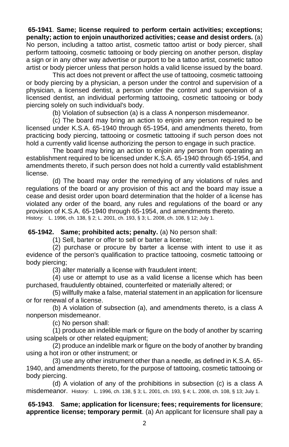**65-1941**. **Same; license required to perform certain activities; exceptions; penalty; action to enjoin unauthorized activities; cease and desist orders.** (a) No person, including a tattoo artist, cosmetic tattoo artist or body piercer, shall perform tattooing, cosmetic tattooing or body piercing on another person, display a sign or in any other way advertise or purport to be a tattoo artist, cosmetic tattoo artist or body piercer unless that person holds a valid license issued by the board.

This act does not prevent or affect the use of tattooing, cosmetic tattooing or body piercing by a physician, a person under the control and supervision of a physician, a licensed dentist, a person under the control and supervision of a licensed dentist, an individual performing tattooing, cosmetic tattooing or body piercing solely on such individual's body.

(b) Violation of subsection (a) is a class A nonperson misdemeanor.

(c) The board may bring an action to enjoin any person required to be licensed under K.S.A. 65-1940 through 65-1954, and amendments thereto, from practicing body piercing, tattooing or cosmetic tattooing if such person does not hold a currently valid license authorizing the person to engage in such practice.

The board may bring an action to enjoin any person from operating an establishment required to be licensed under K.S.A. 65-1940 through 65-1954, and amendments thereto, if such person does not hold a currently valid establishment license.

(d) The board may order the remedying of any violations of rules and regulations of the board or any provision of this act and the board may issue a cease and desist order upon board determination that the holder of a license has violated any order of the board, any rules and regulations of the board or any provision of K.S.A. 65-1940 through 65-1954, and amendments thereto.

History: L. 1996, ch. 138, § 2; L. 2001, ch. 193, § 3; L. 2008, ch. 108, § 12; July 1.

**65-1942. Same; prohibited acts; penalty.** (a) No person shall:

(1) Sell, barter or offer to sell or barter a license;

(2) purchase or procure by barter a license with intent to use it as evidence of the person's qualification to practice tattooing, cosmetic tattooing or body piercing;

(3) alter materially a license with fraudulent intent;

(4) use or attempt to use as a valid license a license which has been purchased, fraudulently obtained, counterfeited or materially altered; or

(5) willfully make a false, material statement in an application for licensure or for renewal of a license.

(b) A violation of subsection (a), and amendments thereto, is a class A nonperson misdemeanor.

(c) No person shall:

(1) produce an indelible mark or figure on the body of another by scarring using scalpels or other related equipment;

(2) produce an indelible mark or figure on the body of another by branding using a hot iron or other instrument; or

(3) use any other instrument other than a needle, as defined in K.S.A. 65- 1940, and amendments thereto, for the purpose of tattooing, cosmetic tattooing or body piercing.

(d) A violation of any of the prohibitions in subsection (c) is a class A misdemeanor. History: L. 1996, ch. 138, § 3; L. 2001, ch. 193, § 4; L. 2008, ch. 108, § 13; July 1.

**65-1943**. **Same; application for licensure; fees; requirements for licensure**; **apprentice license; temporary permit**. (a) An applicant for licensure shall pay a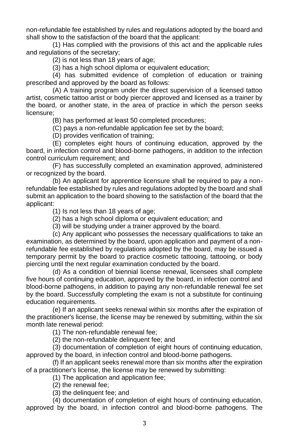non-refundable fee established by rules and regulations adopted by the board and shall show to the satisfaction of the board that the applicant:

(1) Has complied with the provisions of this act and the applicable rules and regulations of the secretary;

(2) is not less than 18 years of age;

(3) has a high school diploma or equivalent education;

(4) has submitted evidence of completion of education or training prescribed and approved by the board as follows:

(A) A training program under the direct supervision of a licensed tattoo artist, cosmetic tattoo artist or body piercer approved and licensed as a trainer by the board, or another state, in the area of practice in which the person seeks licensure;

(B) has performed at least 50 completed procedures;

(C) pays a non-refundable application fee set by the board;

(D) provides verification of training;

(E) completes eight hours of continuing education, approved by the board, in infection control and blood-borne pathogens, in addition to the infection control curriculum requirement; and

(F) has successfully completed an examination approved, administered or recognized by the board.

(b) An applicant for apprentice licensure shall be required to pay a nonrefundable fee established by rules and regulations adopted by the board and shall submit an application to the board showing to the satisfaction of the board that the applicant:

(1) Is not less than 18 years of age;

(2) has a high school diploma or equivalent education; and

(3) will be studying under a trainer approved by the board.

(c) Any applicant who possesses the necessary qualifications to take an examination, as determined by the board, upon application and payment of a nonrefundable fee established by regulations adopted by the board, may be issued a temporary permit by the board to practice cosmetic tattooing, tattooing, or body piercing until the next regular examination conducted by the board.

(d) As a condition of biennial license renewal, licensees shall complete five hours of continuing education, approved by the board, in infection control and blood-borne pathogens, in addition to paying any non-refundable renewal fee set by the board. Successfully completing the exam is not a substitute for continuing education requirements.

(e) If an applicant seeks renewal within six months after the expiration of the practitioner's license, the license may be renewed by submitting, within the six month late renewal period:

(1) The non-refundable renewal fee;

(2) the non-refundable delinquent fee; and

(3) documentation of completion of eight hours of continuing education, approved by the board, in infection control and blood-borne pathogens.

(f) If an applicant seeks renewal more than six months after the expiration of a practitioner's license, the license may be renewed by submitting:

(1) The application and application fee;

(2) the renewal fee;

(3) the delinquent fee; and

(4) documentation of completion of eight hours of continuing education, approved by the board, in infection control and blood-borne pathogens. The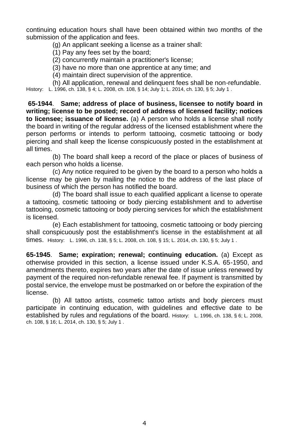continuing education hours shall have been obtained within two months of the submission of the application and fees.

(g) An applicant seeking a license as a trainer shall:

(1) Pay any fees set by the board;

(2) concurrently maintain a practitioner's license;

(3) have no more than one apprentice at any time; and

(4) maintain direct supervision of the apprentice.

(h) All application, renewal and delinquent fees shall be non-refundable.

History: L. 1996, ch. 138, § 4; L. 2008, ch. 108, § 14; July 1; L. 2014, ch. 130, § 5; July 1 .

**65-1944**. **Same; address of place of business, licensee to notify board in writing; license to be posted; record of address of licensed facility; notices to licensee; issuance of license.** (a) A person who holds a license shall notify the board in writing of the regular address of the licensed establishment where the person performs or intends to perform tattooing, cosmetic tattooing or body piercing and shall keep the license conspicuously posted in the establishment at all times.

(b) The board shall keep a record of the place or places of business of each person who holds a license.

(c) Any notice required to be given by the board to a person who holds a license may be given by mailing the notice to the address of the last place of business of which the person has notified the board.

(d) The board shall issue to each qualified applicant a license to operate a tattooing, cosmetic tattooing or body piercing establishment and to advertise tattooing, cosmetic tattooing or body piercing services for which the establishment is licensed.

(e) Each establishment for tattooing, cosmetic tattooing or body piercing shall conspicuously post the establishment's license in the establishment at all times. History: L. 1996, ch. 138, § 5; L. 2008, ch. 108, § 15; L. 2014, ch. 130, § 5; July 1 .

**65-1945**. **Same; expiration; renewal; continuing education.** (a) Except as otherwise provided in this section, a license issued under K.S.A. 65-1950, and amendments thereto, expires two years after the date of issue unless renewed by payment of the required non-refundable renewal fee. If payment is transmitted by postal service, the envelope must be postmarked on or before the expiration of the license.

(b) All tattoo artists, cosmetic tattoo artists and body piercers must participate in continuing education, with guidelines and effective date to be established by rules and regulations of the board. History: L. 1996, ch. 138, § 6; L. 2008, ch. 108, § 16; L. 2014, ch. 130, § 5; July 1 .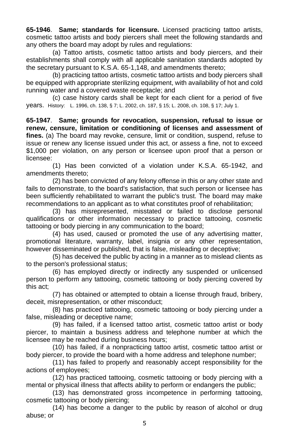**65-1946**. **Same; standards for licensure.** Licensed practicing tattoo artists, cosmetic tattoo artists and body piercers shall meet the following standards and any others the board may adopt by rules and regulations:

(a) Tattoo artists, cosmetic tattoo artists and body piercers, and their establishments shall comply with all applicable sanitation standards adopted by the secretary pursuant to K.S.A. 65-1,148, and amendments thereto;

(b) practicing tattoo artists, cosmetic tattoo artists and body piercers shall be equipped with appropriate sterilizing equipment, with availability of hot and cold running water and a covered waste receptacle; and

(c) case history cards shall be kept for each client for a period of five years. History: L. 1996, ch. 138, § 7; L. 2002, ch. 187, § 15; L. 2008, ch. 108, § 17; July 1.

**65-1947**. **Same; grounds for revocation, suspension, refusal to issue or renew, censure, limitation or conditioning of licenses and assessment of fines.** (a) The board may revoke, censure, limit or condition, suspend, refuse to issue or renew any license issued under this act, or assess a fine, not to exceed \$1,000 per violation, on any person or licensee upon proof that a person or licensee:

(1) Has been convicted of a violation under K.S.A. 65-1942, and amendments thereto;

(2) has been convicted of any felony offense in this or any other state and fails to demonstrate, to the board's satisfaction, that such person or licensee has been sufficiently rehabilitated to warrant the public's trust. The board may make recommendations to an applicant as to what constitutes proof of rehabilitation;

(3) has misrepresented, misstated or failed to disclose personal qualifications or other information necessary to practice tattooing, cosmetic tattooing or body piercing in any communication to the board;

(4) has used, caused or promoted the use of any advertising matter, promotional literature, warranty, label, insignia or any other representation, however disseminated or published, that is false, misleading or deceptive;

(5) has deceived the public by acting in a manner as to mislead clients as to the person's professional status;

(6) has employed directly or indirectly any suspended or unlicensed person to perform any tattooing, cosmetic tattooing or body piercing covered by this act;

(7) has obtained or attempted to obtain a license through fraud, bribery, deceit, misrepresentation, or other misconduct;

(8) has practiced tattooing, cosmetic tattooing or body piercing under a false, misleading or deceptive name;

(9) has failed, if a licensed tattoo artist, cosmetic tattoo artist or body piercer, to maintain a business address and telephone number at which the licensee may be reached during business hours;

(10) has failed, if a nonpracticing tattoo artist, cosmetic tattoo artist or body piercer, to provide the board with a home address and telephone number;

(11) has failed to properly and reasonably accept responsibility for the actions of employees;

(12) has practiced tattooing, cosmetic tattooing or body piercing with a mental or physical illness that affects ability to perform or endangers the public;

(13) has demonstrated gross incompetence in performing tattooing, cosmetic tattooing or body piercing;

(14) has become a danger to the public by reason of alcohol or drug abuse; or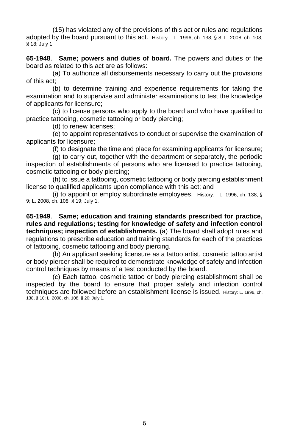(15) has violated any of the provisions of this act or rules and regulations adopted by the board pursuant to this act. History: L. 1996, ch. 138, § 8; L. 2008, ch. 108, § 18; July 1.

**65-1948**. **Same; powers and duties of board.** The powers and duties of the board as related to this act are as follows:

(a) To authorize all disbursements necessary to carry out the provisions of this act;

(b) to determine training and experience requirements for taking the examination and to supervise and administer examinations to test the knowledge of applicants for licensure;

(c) to license persons who apply to the board and who have qualified to practice tattooing, cosmetic tattooing or body piercing;

(d) to renew licenses;

(e) to appoint representatives to conduct or supervise the examination of applicants for licensure;

(f) to designate the time and place for examining applicants for licensure;

(g) to carry out, together with the department or separately, the periodic inspection of establishments of persons who are licensed to practice tattooing, cosmetic tattooing or body piercing;

(h) to issue a tattooing, cosmetic tattooing or body piercing establishment license to qualified applicants upon compliance with this act; and

(i) to appoint or employ subordinate employees. History: L. 1996, ch. 138, § 9; L. 2008, ch. 108, § 19; July 1.

**65-1949**. **Same; education and training standards prescribed for practice, rules and regulations; testing for knowledge of safety and infection control techniques; inspection of establishments.** (a) The board shall adopt rules and regulations to prescribe education and training standards for each of the practices of tattooing, cosmetic tattooing and body piercing.

(b) An applicant seeking licensure as a tattoo artist, cosmetic tattoo artist or body piercer shall be required to demonstrate knowledge of safety and infection control techniques by means of a test conducted by the board.

(c) Each tattoo, cosmetic tattoo or body piercing establishment shall be inspected by the board to ensure that proper safety and infection control techniques are followed before an establishment license is issued. History: L. 1996, ch. 138, § 10; L. 2008, ch. 108, § 20; July 1.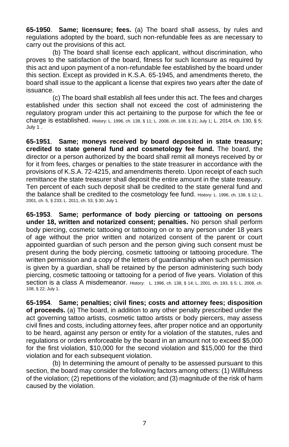**65-1950**. **Same; licensure; fees.** (a) The board shall assess, by rules and regulations adopted by the board, such non-refundable fees as are necessary to carry out the provisions of this act.

(b) The board shall license each applicant, without discrimination, who proves to the satisfaction of the board, fitness for such licensure as required by this act and upon payment of a non-refundable fee established by the board under this section. Except as provided in K.S.A. 65-1945, and amendments thereto, the board shall issue to the applicant a license that expires two years after the date of issuance.

(c) The board shall establish all fees under this act. The fees and charges established under this section shall not exceed the cost of administering the regulatory program under this act pertaining to the purpose for which the fee or charge is established. History: L. 1996, ch. 138, § 11; L. 2008, ch. 108, § 21; July 1; L. 2014, ch. 130, § 5; July 1 .

**65-1951**. **Same; moneys received by board deposited in state treasury; credited to state general fund and cosmetology fee fund.** The board, the director or a person authorized by the board shall remit all moneys received by or for it from fees, charges or penalties to the state treasurer in accordance with the provisions of K.S.A. 72-4215, and amendments thereto. Upon receipt of each such remittance the state treasurer shall deposit the entire amount in the state treasury. Ten percent of each such deposit shall be credited to the state general fund and the balance shall be credited to the cosmetology fee fund. History: L. 1996, ch. 138, § 12; L. 2001, ch. 5, § 233; L. 2011, ch. 53, § 30; July 1.

**65-1953**. **Same; performance of body piercing or tattooing on persons under 18, written and notarized consent; penalties.** No person shall perform body piercing, cosmetic tattooing or tattooing on or to any person under 18 years of age without the prior written and notarized consent of the parent or court appointed guardian of such person and the person giving such consent must be present during the body piercing, cosmetic tattooing or tattooing procedure. The written permission and a copy of the letters of guardianship when such permission is given by a guardian, shall be retained by the person administering such body piercing, cosmetic tattooing or tattooing for a period of five years. Violation of this section is a class A misdemeanor. History: L. 1996, ch. 138, § 14; L. 2001, ch. 193, § 5; L. 2008, ch. 108, § 22; July 1.

**65-1954**. **Same; penalties; civil fines; costs and attorney fees; disposition of proceeds.** (a) The board, in addition to any other penalty prescribed under the act governing tattoo artists, cosmetic tattoo artists or body piercers, may assess civil fines and costs, including attorney fees, after proper notice and an opportunity to be heard, against any person or entity for a violation of the statutes, rules and regulations or orders enforceable by the board in an amount not to exceed \$5,000 for the first violation, \$10,000 for the second violation and \$15,000 for the third violation and for each subsequent violation.

(b) In determining the amount of penalty to be assessed pursuant to this section, the board may consider the following factors among others: (1) Willfulness of the violation; (2) repetitions of the violation; and (3) magnitude of the risk of harm caused by the violation.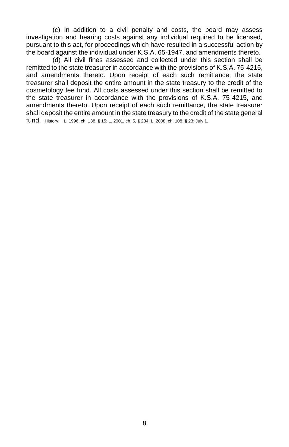(c) In addition to a civil penalty and costs, the board may assess investigation and hearing costs against any individual required to be licensed, pursuant to this act, for proceedings which have resulted in a successful action by the board against the individual under K.S.A. 65-1947, and amendments thereto.

(d) All civil fines assessed and collected under this section shall be remitted to the state treasurer in accordance with the provisions of K.S.A. 75-4215, and amendments thereto. Upon receipt of each such remittance, the state treasurer shall deposit the entire amount in the state treasury to the credit of the cosmetology fee fund. All costs assessed under this section shall be remitted to the state treasurer in accordance with the provisions of K.S.A. 75-4215, and amendments thereto. Upon receipt of each such remittance, the state treasurer shall deposit the entire amount in the state treasury to the credit of the state general fund. History: L. 1996, ch. 138, § 15; L. 2001, ch. 5, § 234; L. 2008, ch. 108, § 23; July 1.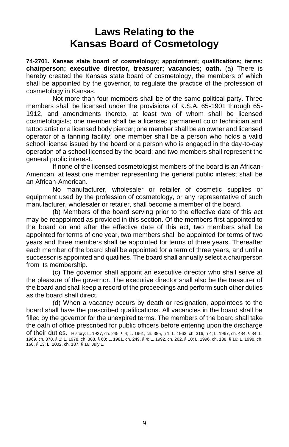### **Laws Relating to the Kansas Board of Cosmetology**

**74-2701. Kansas state board of cosmetology; appointment; qualifications; terms; chairperson; executive director, treasurer; vacancies; oath.** (a) There is hereby created the Kansas state board of cosmetology, the members of which shall be appointed by the governor, to regulate the practice of the profession of cosmetology in Kansas.

Not more than four members shall be of the same political party. Three members shall be licensed under the provisions of K.S.A. 65-1901 through 65- 1912, and amendments thereto, at least two of whom shall be licensed cosmetologists; one member shall be a licensed permanent color technician and tattoo artist or a licensed body piercer; one member shall be an owner and licensed operator of a tanning facility; one member shall be a person who holds a valid school license issued by the board or a person who is engaged in the day-to-day operation of a school licensed by the board; and two members shall represent the general public interest.

If none of the licensed cosmetologist members of the board is an African-American, at least one member representing the general public interest shall be an African-American.

No manufacturer, wholesaler or retailer of cosmetic supplies or equipment used by the profession of cosmetology, or any representative of such manufacturer, wholesaler or retailer, shall become a member of the board.

(b) Members of the board serving prior to the effective date of this act may be reappointed as provided in this section. Of the members first appointed to the board on and after the effective date of this act, two members shall be appointed for terms of one year, two members shall be appointed for terms of two years and three members shall be appointed for terms of three years. Thereafter each member of the board shall be appointed for a term of three years, and until a successor is appointed and qualifies. The board shall annually select a chairperson from its membership.

(c) The governor shall appoint an executive director who shall serve at the pleasure of the governor. The executive director shall also be the treasurer of the board and shall keep a record of the proceedings and perform such other duties as the board shall direct.

(d) When a vacancy occurs by death or resignation, appointees to the board shall have the prescribed qualifications. All vacancies in the board shall be filled by the governor for the unexpired terms. The members of the board shall take the oath of office prescribed for public officers before entering upon the discharge of their duties. History: L. 1927, ch. 245, § 4; L. 1961, ch. 385, § 1; L. 1963, ch. 316, § 4; L. 1967, ch. 434, § 34; L. 1969, ch. 370, § 1; L. 1978, ch. 308, § 60; L. 1981, ch. 249, § 4; L. 1992, ch. 262, § 10; L. 1996, ch. 138, § 16; L. 1998, ch. 160, § 13; L. 2002, ch. 187, § 16; July 1.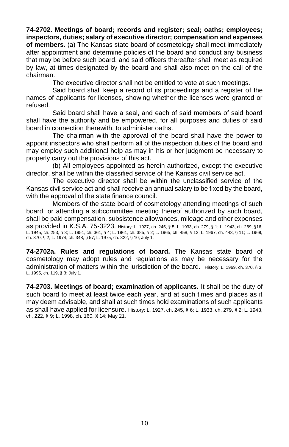**74-2702. Meetings of board; records and register; seal; oaths; employees; inspectors, duties; salary of executive director; compensation and expenses of members.** (a) The Kansas state board of cosmetology shall meet immediately after appointment and determine policies of the board and conduct any business that may be before such board, and said officers thereafter shall meet as required by law, at times designated by the board and shall also meet on the call of the chairman.

The executive director shall not be entitled to vote at such meetings.

Said board shall keep a record of its proceedings and a register of the names of applicants for licenses, showing whether the licenses were granted or refused.

Said board shall have a seal, and each of said members of said board shall have the authority and be empowered, for all purposes and duties of said board in connection therewith, to administer oaths.

The chairman with the approval of the board shall have the power to appoint inspectors who shall perform all of the inspection duties of the board and may employ such additional help as may in his or her judgment be necessary to properly carry out the provisions of this act.

(b) All employees appointed as herein authorized, except the executive director, shall be within the classified service of the Kansas civil service act.

The executive director shall be within the unclassified service of the Kansas civil service act and shall receive an annual salary to be fixed by the board, with the approval of the state finance council.

Members of the state board of cosmetology attending meetings of such board, or attending a subcommittee meeting thereof authorized by such board, shall be paid compensation, subsistence allowances, mileage and other expenses as provided in K.S.A. 75-3223. History: L. 1927, ch. 245, § 5; L. 1933, ch. 279, § 1; L. 1943, ch. 269, §16; L. 1945, ch. 253, § 3; L. 1951, ch. 361, § 4; L. 1961, ch. 385, § 2; L. 1965, ch. 458, § 12; L. 1967, ch. 443, § 11; L. 1969, ch. 370, § 2; L. 1974, ch. 348, § 57; L. 1975, ch. 322, § 10; July 1.

**74-2702a. Rules and regulations of board.** The Kansas state board of cosmetology may adopt rules and regulations as may be necessary for the administration of matters within the jurisdiction of the board. History: L. 1969, ch. 370, § 3; L. 1995, ch. 119, § 3; July 1.

**74-2703. Meetings of board; examination of applicants.** It shall be the duty of such board to meet at least twice each year, and at such times and places as it may deem advisable, and shall at such times hold examinations of such applicants as shall have applied for licensure. History: L. 1927, ch. 245, § 6; L. 1933, ch. 279, § 2; L. 1943, ch. 222, § 9; L. 1998, ch. 160, § 14; May 21.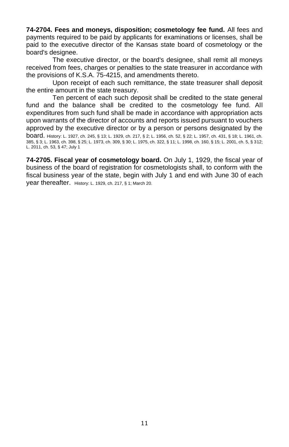**74-2704. Fees and moneys, disposition; cosmetology fee fund.** All fees and payments required to be paid by applicants for examinations or licenses, shall be paid to the executive director of the Kansas state board of cosmetology or the board's designee.

The executive director, or the board's designee, shall remit all moneys received from fees, charges or penalties to the state treasurer in accordance with the provisions of K.S.A. 75-4215, and amendments thereto.

Upon receipt of each such remittance, the state treasurer shall deposit the entire amount in the state treasury.

Ten percent of each such deposit shall be credited to the state general fund and the balance shall be credited to the cosmetology fee fund. All expenditures from such fund shall be made in accordance with appropriation acts upon warrants of the director of accounts and reports issued pursuant to vouchers approved by the executive director or by a person or persons designated by the board. History: L. 1927, ch. 245, § 13; L. 1929, ch. 217, § 2; L. 1956, ch. 52, § 22; L. 1957, ch. 431, § 18; L. 1961, ch. 385, § 3; L. 1963, ch. 398, § 25; L. 1973, ch. 309, § 30; L. 1975, ch. 322, § 11; L. 1998, ch. 160, § 15; L. 2001, ch. 5, § 312; L. 2011, ch. 53, § 47; July 1

**74-2705. Fiscal year of cosmetology board.** On July 1, 1929, the fiscal year of business of the board of registration for cosmetologists shall, to conform with the fiscal business year of the state, begin with July 1 and end with June 30 of each year thereafter. History: L. 1929, ch. 217, § 1; March 20.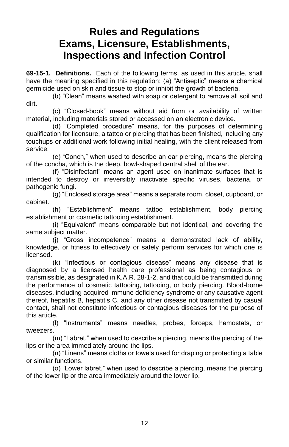### **Rules and Regulations Exams, Licensure, Establishments, Inspections and Infection Control**

**69-15-1. Definitions.** Each of the following terms, as used in this article, shall have the meaning specified in this regulation: (a) "Antiseptic" means a chemical germicide used on skin and tissue to stop or inhibit the growth of bacteria.

(b) "Clean" means washed with soap or detergent to remove all soil and dirt.

(c) "Closed-book" means without aid from or availability of written material, including materials stored or accessed on an electronic device.

(d) "Completed procedure" means, for the purposes of determining qualification for licensure, a tattoo or piercing that has been finished, including any touchups or additional work following initial healing, with the client released from service.

(e) "Conch," when used to describe an ear piercing, means the piercing of the concha, which is the deep, bowl-shaped central shell of the ear.

(f) "Disinfectant" means an agent used on inanimate surfaces that is intended to destroy or irreversibly inactivate specific viruses, bacteria, or pathogenic fungi.

(g) "Enclosed storage area" means a separate room, closet, cupboard, or cabinet.

(h) "Establishment" means tattoo establishment, body piercing establishment or cosmetic tattooing establishment.

(i) "Equivalent" means comparable but not identical, and covering the same subject matter.

(j) "Gross incompetence" means a demonstrated lack of ability, knowledge, or fitness to effectively or safely perform services for which one is licensed.

(k) "Infectious or contagious disease" means any disease that is diagnosed by a licensed health care professional as being contagious or transmissible, as designated in K.A.R. 28-1-2, and that could be transmitted during the performance of cosmetic tattooing, tattooing, or body piercing. Blood-borne diseases, including acquired immune deficiency syndrome or any causative agent thereof, hepatitis B, hepatitis C, and any other disease not transmitted by casual contact, shall not constitute infectious or contagious diseases for the purpose of this article.

(l) "Instruments" means needles, probes, forceps, hemostats, or tweezers.

(m) "Labret," when used to describe a piercing, means the piercing of the lips or the area immediately around the lips.

(n) "Linens" means cloths or towels used for draping or protecting a table or similar functions.

(o) "Lower labret," when used to describe a piercing, means the piercing of the lower lip or the area immediately around the lower lip.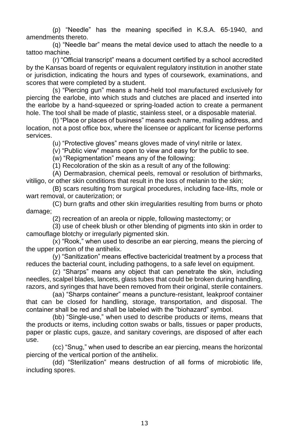(p) "Needle" has the meaning specified in K.S.A. 65-1940, and amendments thereto.

(q) "Needle bar" means the metal device used to attach the needle to a tattoo machine.

(r) "Official transcript" means a document certified by a school accredited by the Kansas board of regents or equivalent regulatory institution in another state or jurisdiction, indicating the hours and types of coursework, examinations, and scores that were completed by a student.

(s) "Piercing gun" means a hand-held tool manufactured exclusively for piercing the earlobe, into which studs and clutches are placed and inserted into the earlobe by a hand-squeezed or spring-loaded action to create a permanent hole. The tool shall be made of plastic, stainless steel, or a disposable material.

(t) "Place or places of business" means each name, mailing address, and location, not a post office box, where the licensee or applicant for license performs services.

(u) "Protective gloves" means gloves made of vinyl nitrile or latex.

(v) "Public view" means open to view and easy for the public to see.

(w) "Repigmentation" means any of the following:

(1) Recoloration of the skin as a result of any of the following:

(A) Dermabrasion, chemical peels, removal or resolution of birthmarks, vitiligo, or other skin conditions that result in the loss of melanin to the skin;

(B) scars resulting from surgical procedures, including face-lifts, mole or wart removal, or cauterization; or

(C) burn grafts and other skin irregularities resulting from burns or photo damage;

(2) recreation of an areola or nipple, following mastectomy; or

(3) use of cheek blush or other blending of pigments into skin in order to camouflage blotchy or irregularly pigmented skin.

(x) "Rook," when used to describe an ear piercing, means the piercing of the upper portion of the antihelix.

(y) "Sanitization" means effective bactericidal treatment by a process that reduces the bacterial count, including pathogens, to a safe level on equipment.

(z) "Sharps" means any object that can penetrate the skin, including needles, scalpel blades, lancets, glass tubes that could be broken during handling, razors, and syringes that have been removed from their original, sterile containers.

(aa) "Sharps container" means a puncture-resistant, leakproof container that can be closed for handling, storage, transportation, and disposal. The container shall be red and shall be labeled with the "biohazard" symbol.

(bb) "Single-use," when used to describe products or items, means that the products or items, including cotton swabs or balls, tissues or paper products, paper or plastic cups, gauze, and sanitary coverings, are disposed of after each use.

(cc) "Snug," when used to describe an ear piercing, means the horizontal piercing of the vertical portion of the antihelix.

(dd) "Sterilization" means destruction of all forms of microbiotic life, including spores.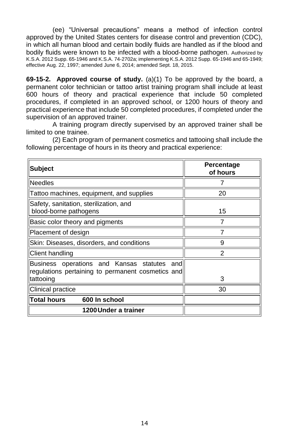(ee) "Universal precautions" means a method of infection control approved by the United States centers for disease control and prevention (CDC), in which all human blood and certain bodily fluids are handled as if the blood and bodily fluids were known to be infected with a blood-borne pathogen. Authorized by K.S.A. 2012 Supp. 65-1946 and K.S.A. 74-2702a; implementing K.S.A. 2012 Supp. 65-1946 and 65-1949; effective Aug. 22, 1997; amended June 6, 2014; amended Sept. 18, 2015.

**69-15-2. Approved course of study.** (a)(1) To be approved by the board, a permanent color technician or tattoo artist training program shall include at least 600 hours of theory and practical experience that include 50 completed procedures, if completed in an approved school, or 1200 hours of theory and practical experience that include 50 completed procedures, if completed under the supervision of an approved trainer.

A training program directly supervised by an approved trainer shall be limited to one trainee.

(2) Each program of permanent cosmetics and tattooing shall include the following percentage of hours in its theory and practical experience:

| Subject                                                                                             | Percentage<br>of hours |
|-----------------------------------------------------------------------------------------------------|------------------------|
| <b>Needles</b>                                                                                      |                        |
| Tattoo machines, equipment, and supplies                                                            | 20                     |
| Safety, sanitation, sterilization, and<br>blood-borne pathogens                                     | 15                     |
| Basic color theory and pigments                                                                     |                        |
| Placement of design                                                                                 |                        |
| Skin: Diseases, disorders, and conditions                                                           | 9                      |
| Client handling                                                                                     | 2                      |
| Business operations and Kansas statutes<br>and<br>regulations pertaining to permanent cosmetics and |                        |
| tattooing                                                                                           | 3                      |
| Clinical practice                                                                                   | 30                     |
| llTotal hours<br>600 In school                                                                      |                        |
| 1200 Under a trainer                                                                                |                        |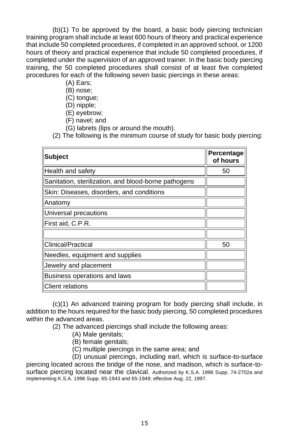(b)(1) To be approved by the board, a basic body piercing technician training program shall include at least 600 hours of theory and practical experience that include 50 completed procedures, if completed in an approved school, or 1200 hours of theory and practical experience that include 50 completed procedures, if completed under the supervision of an approved trainer. In the basic body piercing training, the 50 completed procedures shall consist of at least five completed procedures for each of the following seven basic piercings in these areas:

- (A) Ears;
- (B) nose;
- (C) tongue;
- (D) nipple;
- (E) eyebrow;
- (F) navel; and
- (G) labrets (lips or around the mouth).

(2) The following is the minimum course of study for basic body piercing:

| <b>Subject</b>                                       | Percentage<br>of hours |
|------------------------------------------------------|------------------------|
| Health and safety                                    | 50                     |
| Sanitation, sterilization, and blood-borne pathogens |                        |
| Skin: Diseases, disorders, and conditions            |                        |
| Anatomy                                              |                        |
| Universal precautions                                |                        |
| First aid, C.P.R.                                    |                        |
|                                                      |                        |
| Clinical/Practical                                   | 50                     |
| Needles, equipment and supplies                      |                        |
| Jewelry and placement                                |                        |
| Business operations and laws                         |                        |
| <b>Client relations</b>                              |                        |

(c)(1) An advanced training program for body piercing shall include, in addition to the hours required for the basic body piercing, 50 completed procedures within the advanced areas.

(2) The advanced piercings shall include the following areas:

- (A) Male genitals;
- (B) female genitals;
- (C) multiple piercings in the same area; and

(D) unusual piercings, including earl, which is surface-to-surface piercing located across the bridge of the nose, and madison, which is surface-tosurface piercing located near the clavical. Authorized by K.S.A. 1996 Supp. 74-2702a and implementing K.S.A. 1996 Supp. 65-1943 and 65-1949; effective Aug. 22, 1997.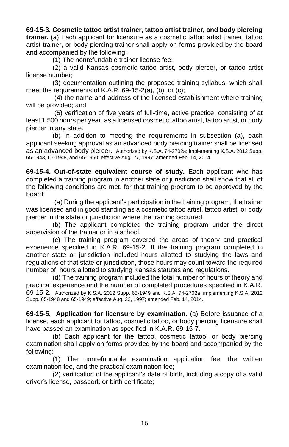**69-15-3. Cosmetic tattoo artist trainer, tattoo artist trainer, and body piercing trainer.** (a) Each applicant for licensure as a cosmetic tattoo artist trainer, tattoo artist trainer, or body piercing trainer shall apply on forms provided by the board and accompanied by the following:

(1) The nonrefundable trainer license fee;

(2) a valid Kansas cosmetic tattoo artist, body piercer, or tattoo artist license number;

(3) documentation outlining the proposed training syllabus, which shall meet the requirements of K.A.R. 69-15-2(a), (b), or (c);

(4) the name and address of the licensed establishment where training will be provided; and

(5) verification of five years of full-time, active practice, consisting of at least 1,500 hours per year, as a licensed cosmetic tattoo artist, tattoo artist, or body piercer in any state.

(b) In addition to meeting the requirements in subsection (a), each applicant seeking approval as an advanced body piercing trainer shall be licensed as an advanced body piercer. Authorized by K.S.A. 74-2702a; implementing K.S.A. 2012 Supp. 65-1943, 65-1948, and 65-1950; effective Aug. 27, 1997; amended Feb. 14, 2014.

**69-15-4. Out-of-state equivalent course of study.** Each applicant who has completed a training program in another state or jurisdiction shall show that all of the following conditions are met, for that training program to be approved by the board:

(a) During the applicant's participation in the training program, the trainer was licensed and in good standing as a cosmetic tattoo artist, tattoo artist, or body piercer in the state or jurisdiction where the training occurred.

(b) The applicant completed the training program under the direct supervision of the trainer or in a school.

(c) The training program covered the areas of theory and practical experience specified in K.A.R. 69-15-2. If the training program completed in another state or jurisdiction included hours allotted to studying the laws and regulations of that state or jurisdiction, those hours may count toward the required number of hours allotted to studying Kansas statutes and regulations.

(d) The training program included the total number of hours of theory and practical experience and the number of completed procedures specified in K.A.R. 69-15-2. Authorized by K.S.A. 2012 Supp. 65-1949 and K.S.A. 74-2702a; implementing K.S.A. 2012 Supp. 65-1948 and 65-1949; effective Aug. 22, 1997; amended Feb. 14, 2014.

**69-15-5. Application for licensure by examination.** (a) Before issuance of a license, each applicant for tattoo, cosmetic tattoo, or body piercing licensure shall have passed an examination as specified in K.A.R. 69-15-7.

(b) Each applicant for the tattoo, cosmetic tattoo, or body piercing examination shall apply on forms provided by the board and accompanied by the following:

(1) The nonrefundable examination application fee, the written examination fee, and the practical examination fee;

(2) verification of the applicant's date of birth, including a copy of a valid driver's license, passport, or birth certificate;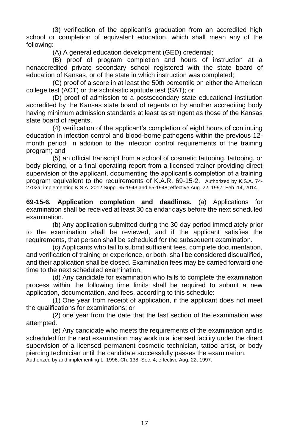(3) verification of the applicant's graduation from an accredited high school or completion of equivalent education, which shall mean any of the following:

(A) A general education development (GED) credential;

(B) proof of program completion and hours of instruction at a nonaccredited private secondary school registered with the state board of education of Kansas, or of the state in which instruction was completed;

(C) proof of a score in at least the 50th percentile on either the American college test (ACT) or the scholastic aptitude test (SAT); or

(D) proof of admission to a postsecondary state educational institution accredited by the Kansas state board of regents or by another accrediting body having minimum admission standards at least as stringent as those of the Kansas state board of regents.

(4) verification of the applicant's completion of eight hours of continuing education in infection control and blood-borne pathogens within the previous 12 month period, in addition to the infection control requirements of the training program; and

(5) an official transcript from a school of cosmetic tattooing, tattooing, or body piercing, or a final operating report from a licensed trainer providing direct supervision of the applicant, documenting the applicant's completion of a training program equivalent to the requirements of K.A.R. 69-15-2. Authorized by K.S.A. 74- 2702a; implementing K.S.A. 2012 Supp. 65-1943 and 65-1948; effective Aug. 22, 1997; Feb. 14, 2014.

**69-15-6. Application completion and deadlines.** (a) Applications for examination shall be received at least 30 calendar days before the next scheduled examination.

(b) Any application submitted during the 30-day period immediately prior to the examination shall be reviewed, and if the applicant satisfies the requirements, that person shall be scheduled for the subsequent examination.

(c) Applicants who fail to submit sufficient fees, complete documentation, and verification of training or experience, or both, shall be considered disqualified, and their application shall be closed. Examination fees may be carried forward one time to the next scheduled examination.

(d) Any candidate for examination who fails to complete the examination process within the following time limits shall be required to submit a new application, documentation, and fees, according to this schedule:

(1) One year from receipt of application, if the applicant does not meet the qualifications for examinations; or

(2) one year from the date that the last section of the examination was attempted.

(e) Any candidate who meets the requirements of the examination and is scheduled for the next examination may work in a licensed facility under the direct supervision of a licensed permanent cosmetic technician, tattoo artist, or body piercing technician until the candidate successfully passes the examination. Authorized by and implementing L. 1996, Ch. 138, Sec. 4; effective Aug. 22, 1997.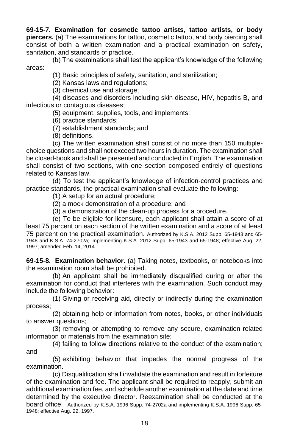#### **69-15-7. Examination for cosmetic tattoo artists, tattoo artists, or body piercers.** (a) The examinations for tattoo, cosmetic tattoo, and body piercing shall consist of both a written examination and a practical examination on safety, sanitation, and standards of practice.

(b) The examinations shall test the applicant's knowledge of the following areas:

(1) Basic principles of safety, sanitation, and sterilization;

(2) Kansas laws and regulations;

(3) chemical use and storage;

(4) diseases and disorders including skin disease, HIV, hepatitis B, and infectious or contagious diseases;

(5) equipment, supplies, tools, and implements;

(6) practice standards;

(7) establishment standards; and

(8) definitions.

(c) The written examination shall consist of no more than 150 multiplechoice questions and shall not exceed two hours in duration. The examination shall be closed-book and shall be presented and conducted in English. The examination shall consist of two sections, with one section composed entirely of questions related to Kansas law.

(d) To test the applicant's knowledge of infection-control practices and practice standards, the practical examination shall evaluate the following:

(1) A setup for an actual procedure;

(2) a mock demonstration of a procedure; and

(3) a demonstration of the clean-up process for a procedure.

(e) To be eligible for licensure, each applicant shall attain a score of at least 75 percent on each section of the written examination and a score of at least 75 percent on the practical examination. Authorized by K.S.A. 2012 Supp. 65-1943 and 65- 1948 and K.S.A. 74-2702a; implementing K.S.A. 2012 Supp. 65-1943 and 65-1948; effective Aug. 22, 1997; amended Feb. 14, 2014.

**69-15-8. Examination behavior.** (a) Taking notes, textbooks, or notebooks into the examination room shall be prohibited.

(b) An applicant shall be immediately disqualified during or after the examination for conduct that interferes with the examination. Such conduct may include the following behavior:

(1) Giving or receiving aid, directly or indirectly during the examination process;

(2) obtaining help or information from notes, books, or other individuals to answer questions;

(3) removing or attempting to remove any secure, examination-related information or materials from the examination site;

(4) failing to follow directions relative to the conduct of the examination; and

(5) exhibiting behavior that impedes the normal progress of the examination.

(c) Disqualification shall invalidate the examination and result in forfeiture of the examination and fee. The applicant shall be required to reapply, submit an additional examination fee, and schedule another examination at the date and time determined by the executive director. Reexamination shall be conducted at the board office. Authorized by K.S.A. 1996 Supp. 74-2702a and implementing K.S.A. 1996 Supp. 65- 1948; effective Aug. 22, 1997.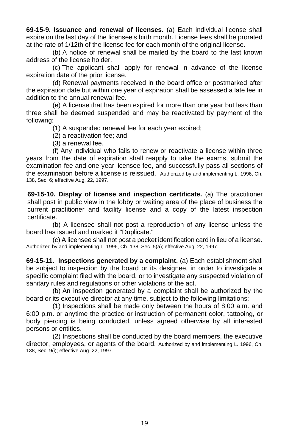**69-15-9. Issuance and renewal of licenses.** (a) Each individual license shall expire on the last day of the licensee's birth month. License fees shall be prorated at the rate of 1/12th of the license fee for each month of the original license.

(b) A notice of renewal shall be mailed by the board to the last known address of the license holder.

(c) The applicant shall apply for renewal in advance of the license expiration date of the prior license.

(d) Renewal payments received in the board office or postmarked after the expiration date but within one year of expiration shall be assessed a late fee in addition to the annual renewal fee.

(e) A license that has been expired for more than one year but less than three shall be deemed suspended and may be reactivated by payment of the following:

(1) A suspended renewal fee for each year expired;

(2) a reactivation fee; and

(3) a renewal fee.

(f) Any individual who fails to renew or reactivate a license within three years from the date of expiration shall reapply to take the exams, submit the examination fee and one-year licensee fee, and successfully pass all sections of the examination before a license is reissued. Authorized by and implementing L. 1996, Ch. 138, Sec. 6; effective Aug. 22, 1997.

**69-15-10. Display of license and inspection certificate.** (a) The practitioner shall post in public view in the lobby or waiting area of the place of business the current practitioner and facility license and a copy of the latest inspection certificate.

(b) A licensee shall not post a reproduction of any license unless the board has issued and marked it "Duplicate."

(c) A licensee shall not post a pocket identification card in lieu of a license. Authorized by and implementing L. 1996, Ch. 138, Sec. 5(a); effective Aug. 22, 1997.

**69-15-11. Inspections generated by a complaint.** (a) Each establishment shall be subject to inspection by the board or its designee, in order to investigate a specific complaint filed with the board, or to investigate any suspected violation of sanitary rules and regulations or other violations of the act.

(b) An inspection generated by a complaint shall be authorized by the board or its executive director at any time, subject to the following limitations:

(1) Inspections shall be made only between the hours of 8:00 a.m. and 6:00 p.m. or anytime the practice or instruction of permanent color, tattooing, or body piercing is being conducted, unless agreed otherwise by all interested persons or entities.

(2) Inspections shall be conducted by the board members, the executive director, employees, or agents of the board. Authorized by and implementing L. 1996, Ch. 138, Sec. 9(i); effective Aug. 22, 1997.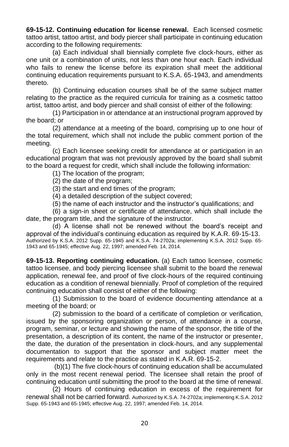**69-15-12. Continuing education for license renewal.** Each licensed cosmetic tattoo artist, tattoo artist, and body piercer shall participate in continuing education according to the following requirements:

(a) Each individual shall biennially complete five clock-hours, either as one unit or a combination of units, not less than one hour each. Each individual who fails to renew the license before its expiration shall meet the additional continuing education requirements pursuant to K.S.A. 65-1943, and amendments thereto.

(b) Continuing education courses shall be of the same subject matter relating to the practice as the required curricula for training as a cosmetic tattoo artist, tattoo artist, and body piercer and shall consist of either of the following:

(1) Participation in or attendance at an instructional program approved by the board; or

(2) attendance at a meeting of the board, comprising up to one hour of the total requirement, which shall not include the public comment portion of the meeting.

(c) Each licensee seeking credit for attendance at or participation in an educational program that was not previously approved by the board shall submit to the board a request for credit, which shall include the following information:

- (1) The location of the program;
- (2) the date of the program;
- (3) the start and end times of the program;
- (4) a detailed description of the subject covered;
- (5) the name of each instructor and the instructor's qualifications; and

(6) a sign-in sheet or certificate of attendance, which shall include the date, the program title, and the signature of the instructor.

(d) A license shall not be renewed without the board's receipt and approval of the individual's continuing education as required by K.A.R. 69-15-13. Authorized by K.S.A. 2012 Supp. 65-1945 and K.S.A. 74-2702a; implementing K.S.A. 2012 Supp. 65- 1943 and 65-1945; effective Aug. 22, 1997; amended Feb. 14, 2014.

**69-15-13. Reporting continuing education.** (a) Each tattoo licensee, cosmetic tattoo licensee, and body piercing licensee shall submit to the board the renewal application, renewal fee, and proof of five clock-hours of the required continuing education as a condition of renewal biennially. Proof of completion of the required continuing education shall consist of either of the following:

(1) Submission to the board of evidence documenting attendance at a meeting of the board; or

(2) submission to the board of a certificate of completion or verification, issued by the sponsoring organization or person, of attendance in a course, program, seminar, or lecture and showing the name of the sponsor, the title of the presentation, a description of its content, the name of the instructor or presenter, the date, the duration of the presentation in clock-hours, and any supplemental documentation to support that the sponsor and subject matter meet the requirements and relate to the practice as stated in K.A.R. 69-15-2.

(b)(1) The five clock-hours of continuing education shall be accumulated only in the most recent renewal period. The licensee shall retain the proof of continuing education until submitting the proof to the board at the time of renewal.

(2) Hours of continuing education in excess of the requirement for renewal shall not be carried forward. Authorized by K.S.A. 74-2702a; implementing K.S.A. 2012 Supp. 65-1943 and 65-1945; effective Aug. 22, 1997; amended Feb. 14, 2014.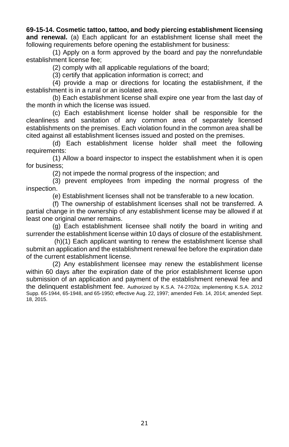### **69-15-14. Cosmetic tattoo, tattoo, and body piercing establishment licensing and renewal.** (a) Each applicant for an establishment license shall meet the following requirements before opening the establishment for business:

(1) Apply on a form approved by the board and pay the nonrefundable establishment license fee;

(2) comply with all applicable regulations of the board;

(3) certify that application information is correct; and

(4) provide a map or directions for locating the establishment, if the establishment is in a rural or an isolated area.

(b) Each establishment license shall expire one year from the last day of the month in which the license was issued.

(c) Each establishment license holder shall be responsible for the cleanliness and sanitation of any common area of separately licensed establishments on the premises. Each violation found in the common area shall be cited against all establishment licenses issued and posted on the premises.

(d) Each establishment license holder shall meet the following requirements:

(1) Allow a board inspector to inspect the establishment when it is open for business;

(2) not impede the normal progress of the inspection; and

(3) prevent employees from impeding the normal progress of the inspection.

(e) Establishment licenses shall not be transferable to a new location.

(f) The ownership of establishment licenses shall not be transferred. A partial change in the ownership of any establishment license may be allowed if at least one original owner remains.

(g) Each establishment licensee shall notify the board in writing and surrender the establishment license within 10 days of closure of the establishment.

(h)(1) Each applicant wanting to renew the establishment license shall submit an application and the establishment renewal fee before the expiration date of the current establishment license.

(2) Any establishment licensee may renew the establishment license within 60 days after the expiration date of the prior establishment license upon submission of an application and payment of the establishment renewal fee and the delinquent establishment fee. Authorized by K.S.A. 74-2702a; implementing K.S.A. 2012 Supp. 65-1944, 65-1948, and 65-1950; effective Aug. 22, 1997; amended Feb. 14, 2014; amended Sept. 18, 2015.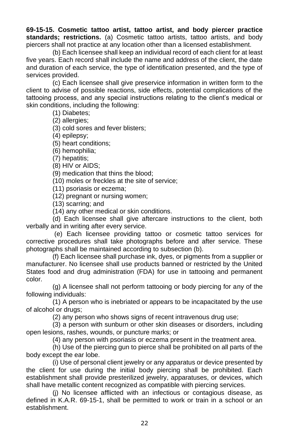**69-15-15. Cosmetic tattoo artist, tattoo artist, and body piercer practice standards; restrictions.** (a) Cosmetic tattoo artists, tattoo artists, and body piercers shall not practice at any location other than a licensed establishment.

(b) Each licensee shall keep an individual record of each client for at least five years. Each record shall include the name and address of the client, the date and duration of each service, the type of identification presented, and the type of services provided.

(c) Each licensee shall give preservice information in written form to the client to advise of possible reactions, side effects, potential complications of the tattooing process, and any special instructions relating to the client's medical or skin conditions, including the following:

(1) Diabetes;

(2) allergies;

(3) cold sores and fever blisters;

(4) epilepsy;

(5) heart conditions;

(6) hemophilia;

(7) hepatitis;

(8) HIV or AIDS;

(9) medication that thins the blood;

(10) moles or freckles at the site of service;

(11) psoriasis or eczema;

(12) pregnant or nursing women;

(13) scarring; and

(14) any other medical or skin conditions.

(d) Each licensee shall give aftercare instructions to the client, both verbally and in writing after every service.

(e) Each licensee providing tattoo or cosmetic tattoo services for corrective procedures shall take photographs before and after service. These photographs shall be maintained according to subsection (b).

(f) Each licensee shall purchase ink, dyes, or pigments from a supplier or manufacturer. No licensee shall use products banned or restricted by the United States food and drug administration (FDA) for use in tattooing and permanent color.

(g) A licensee shall not perform tattooing or body piercing for any of the following individuals:

(1) A person who is inebriated or appears to be incapacitated by the use of alcohol or drugs;

(2) any person who shows signs of recent intravenous drug use;

(3) a person with sunburn or other skin diseases or disorders, including open lesions, rashes, wounds, or puncture marks; or

(4) any person with psoriasis or eczema present in the treatment area.

(h) Use of the piercing gun to pierce shall be prohibited on all parts of the body except the ear lobe.

(i) Use of personal client jewelry or any apparatus or device presented by the client for use during the initial body piercing shall be prohibited. Each establishment shall provide presterilized jewelry, apparatuses, or devices, which shall have metallic content recognized as compatible with piercing services.

(j) No licensee afflicted with an infectious or contagious disease, as defined in K.A.R. 69-15-1, shall be permitted to work or train in a school or an establishment.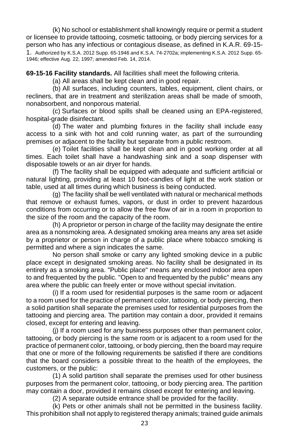(k) No school or establishment shall knowingly require or permit a student or licensee to provide tattooing, cosmetic tattooing, or body piercing services for a person who has any infectious or contagious disease, as defined in K.A.R. 69-15- 1. Authorized by K.S.A. 2012 Supp. 65-1946 and K.S.A. 74-2702a; implementing K.S.A. 2012 Supp. 65- 1946; effective Aug. 22, 1997; amended Feb. 14, 2014.

**69-15-16 Facility standards.** All facilities shall meet the following criteria.

(a) All areas shall be kept clean and in good repair.

(b) All surfaces, including counters, tables, equipment, client chairs, or recliners, that are in treatment and sterilization areas shall be made of smooth, nonabsorbent, and nonporous material.

(c) Surfaces or blood spills shall be cleaned using an EPA-registered, hospital-grade disinfectant.

(d) The water and plumbing fixtures in the facility shall include easy access to a sink with hot and cold running water, as part of the surrounding premises or adjacent to the facility but separate from a public restroom.

(e) Toilet facilities shall be kept clean and in good working order at all times. Each toilet shall have a handwashing sink and a soap dispenser with disposable towels or an air dryer for hands.

(f) The facility shall be equipped with adequate and sufficient artificial or natural lighting, providing at least 10 foot-candles of light at the work station or table, used at all times during which business is being conducted.

(g) The facility shall be well ventilated with natural or mechanical methods that remove or exhaust fumes, vapors, or dust in order to prevent hazardous conditions from occurring or to allow the free flow of air in a room in proportion to the size of the room and the capacity of the room.

(h) A proprietor or person in charge of the facility may designate the entire area as a nonsmoking area. A designated smoking area means any area set aside by a proprietor or person in charge of a public place where tobacco smoking is permitted and where a sign indicates the same.

No person shall smoke or carry any lighted smoking device in a public place except in designated smoking areas. No facility shall be designated in its entirety as a smoking area. "Public place" means any enclosed indoor area open to and frequented by the public. "Open to and frequented by the public" means any area where the public can freely enter or move without special invitation.

(i) If a room used for residential purposes is the same room or adjacent to a room used for the practice of permanent color, tattooing, or body piercing, then a solid partition shall separate the premises used for residential purposes from the tattooing and piercing area. The partition may contain a door, provided it remains closed, except for entering and leaving.

(j) If a room used for any business purposes other than permanent color, tattooing, or body piercing is the same room or is adjacent to a room used for the practice of permanent color, tattooing, or body piercing, then the board may require that one or more of the following requirements be satisfied if there are conditions that the board considers a possible threat to the health of the employees, the customers, or the public:

(1) A solid partition shall separate the premises used for other business purposes from the permanent color, tattooing, or body piercing area. The partition may contain a door, provided it remains closed except for entering and leaving.

(2) A separate outside entrance shall be provided for the facility.

(k) Pets or other animals shall not be permitted in the business facility. This prohibition shall not apply to registered therapy animals; trained guide animals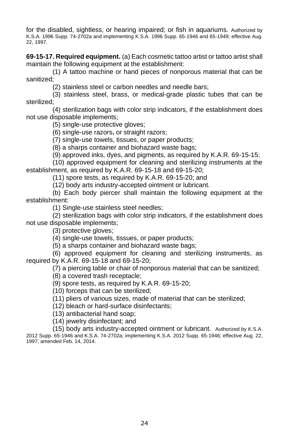for the disabled, sightless, or hearing impaired; or fish in aquariums. Authorized by K.S.A. 1996 Supp. 74-2702a and implementing K.S.A. 1996 Supp. 65-1946 and 65-1949; effective Aug. 22, 1997.

**69-15-17. Required equipment.** (a) Each cosmetic tattoo artist or tattoo artist shall maintain the following equipment at the establishment:

(1) A tattoo machine or hand pieces of nonporous material that can be sanitized;

(2) stainless steel or carbon needles and needle bars;

(3) stainless steel, brass, or medical-grade plastic tubes that can be sterilized;

(4) sterilization bags with color strip indicators, if the establishment does not use disposable implements;

(5) single-use protective gloves;

(6) single-use razors, or straight razors;

(7) single-use towels, tissues, or paper products;

(8) a sharps container and biohazard waste bags;

(9) approved inks, dyes, and pigments, as required by K.A.R. 69-15-15;

(10) approved equipment for cleaning and sterilizing instruments at the establishment, as required by K.A.R. 69-15-18 and 69-15-20;

(11) spore tests, as required by K.A.R. 69-15-20; and

(12) body arts industry-accepted ointment or lubricant.

(b) Each body piercer shall maintain the following equipment at the establishment:

(1) Single-use stainless steel needles;

(2) sterilization bags with color strip indicators, if the establishment does not use disposable implements;

(3) protective gloves;

(4) single-use towels, tissues, or paper products;

(5) a sharps container and biohazard waste bags;

(6) approved equipment for cleaning and sterilizing instruments, as required by K.A.R. 69-15-18 and 69-15-20;

(7) a piercing table or chair of nonporous material that can be sanitized;

(8) a covered trash receptacle;

(9) spore tests, as required by K.A.R. 69-15-20;

(10) forceps that can be sterilized;

(11) pliers of various sizes, made of material that can be sterilized;

(12) bleach or hard-surface disinfectants;

(13) antibacterial hand soap;

(14) jewelry disinfectant; and

(15) body arts industry-accepted ointment or lubricant. Authorized by K.S.A. 2012 Supp. 65-1946 and K.S.A. 74-2702a; implementing K.S.A. 2012 Supp. 65-1946; effective Aug. 22, 1997; amended Feb. 14, 2014.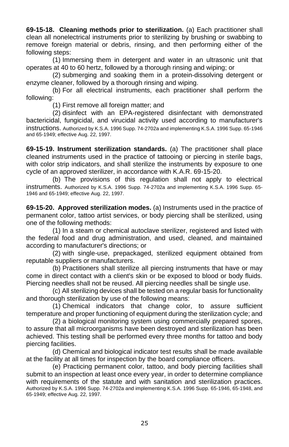**69-15-18. Cleaning methods prior to sterilization.** (a) Each practitioner shall clean all nonelectrical instruments prior to sterilizing by brushing or swabbing to remove foreign material or debris, rinsing, and then performing either of the following steps:

(1) Immersing them in detergent and water in an ultrasonic unit that operates at 40 to 60 hertz, followed by a thorough rinsing and wiping; or

(2) submerging and soaking them in a protein-dissolving detergent or enzyme cleaner, followed by a thorough rinsing and wiping.

(b) For all electrical instruments, each practitioner shall perform the following:

(1) First remove all foreign matter; and

(2) disinfect with an EPA-registered disinfectant with demonstrated bactericidal, fungicidal, and virucidal activity used according to manufacturer's instructions. Authorized by K.S.A. 1996 Supp. 74-2702a and implementing K.S.A. 1996 Supp. 65-1946 and 65-1949; effective Aug. 22, 1997.

**69-15-19. Instrument sterilization standards.** (a) The practitioner shall place cleaned instruments used in the practice of tattooing or piercing in sterile bags, with color strip indicators, and shall sterilize the instruments by exposure to one cycle of an approved sterilizer, in accordance with K.A.R. 69-15-20.

(b) The provisions of this regulation shall not apply to electrical instruments. Authorized by K.S.A. 1996 Supp. 74-2702a and implementing K.S.A. 1996 Supp. 65- 1946 and 65-1949; effective Aug. 22, 1997.

**69-15-20. Approved sterilization modes.** (a) Instruments used in the practice of permanent color, tattoo artist services, or body piercing shall be sterilized, using one of the following methods:

(1) In a steam or chemical autoclave sterilizer, registered and listed with the federal food and drug administration, and used, cleaned, and maintained according to manufacturer's directions; or

(2) with single-use, prepackaged, sterilized equipment obtained from reputable suppliers or manufacturers.

(b) Practitioners shall sterilize all piercing instruments that have or may come in direct contact with a client's skin or be exposed to blood or body fluids. Piercing needles shall not be reused. All piercing needles shall be single use.

(c) All sterilizing devices shall be tested on a regular basis for functionality and thorough sterilization by use of the following means:

(1) Chemical indicators that change color, to assure sufficient temperature and proper functioning of equipment during the sterilization cycle; and

(2) a biological monitoring system using commercially prepared spores, to assure that all microorganisms have been destroyed and sterilization has been achieved. This testing shall be performed every three months for tattoo and body piercing facilities.

(d) Chemical and biological indicator test results shall be made available at the facility at all times for inspection by the board compliance officers.

(e) Practicing permanent color, tattoo, and body piercing facilities shall submit to an inspection at least once every year, in order to determine compliance with requirements of the statute and with sanitation and sterilization practices. Authorized by K.S.A. 1996 Supp. 74-2702a and implementing K.S.A. 1996 Supp. 65-1946, 65-1948, and 65-1949; effective Aug. 22, 1997.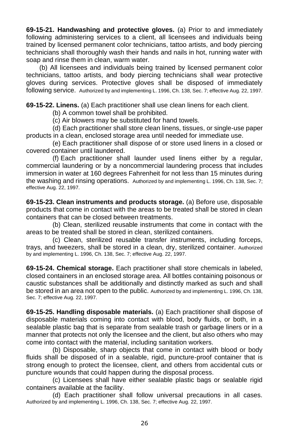**69-15-21. Handwashing and protective gloves.** (a) Prior to and immediately following administering services to a client, all licensees and individuals being trained by licensed permanent color technicians, tattoo artists, and body piercing technicians shall thoroughly wash their hands and nails in hot, running water with soap and rinse them in clean, warm water.

(b) All licensees and individuals being trained by licensed permanent color technicians, tattoo artists, and body piercing technicians shall wear protective gloves during services. Protective gloves shall be disposed of immediately following service. Authorized by and implementing L. 1996, Ch. 138, Sec. 7; effective Aug. 22, 1997.

**69-15-22. Linens.** (a) Each practitioner shall use clean linens for each client.

(b) A common towel shall be prohibited.

(c) Air blowers may be substituted for hand towels.

(d) Each practitioner shall store clean linens, tissues, or single-use paper products in a clean, enclosed storage area until needed for immediate use.

(e) Each practitioner shall dispose of or store used linens in a closed or covered container until laundered.

(f) Each practitioner shall launder used linens either by a regular, commercial laundering or by a noncommercial laundering process that includes immersion in water at 160 degrees Fahrenheit for not less than 15 minutes during the washing and rinsing operations. Authorized by and implementing L. 1996, Ch. 138, Sec. 7; effective Aug. 22, 1997.

**69-15-23. Clean instruments and products storage.** (a) Before use, disposable products that come in contact with the areas to be treated shall be stored in clean containers that can be closed between treatments.

(b) Clean, sterilized reusable instruments that come in contact with the areas to be treated shall be stored in clean, sterilized containers.

(c) Clean, sterilized reusable transfer instruments, including forceps, trays, and tweezers, shall be stored in a clean, dry, sterilized container. Authorized by and implementing L. 1996, Ch. 138, Sec. 7; effective Aug. 22, 1997.

**69-15-24. Chemical storage.** Each practitioner shall store chemicals in labeled, closed containers in an enclosed storage area. All bottles containing poisonous or caustic substances shall be additionally and distinctly marked as such and shall be stored in an area not open to the public. Authorized by and implementing L. 1996, Ch. 138, Sec. 7; effective Aug. 22, 1997.

**69-15-25. Handling disposable materials.** (a) Each practitioner shall dispose of disposable materials coming into contact with blood, body fluids, or both, in a sealable plastic bag that is separate from sealable trash or garbage liners or in a manner that protects not only the licensee and the client, but also others who may come into contact with the material, including sanitation workers.

(b) Disposable, sharp objects that come in contact with blood or body fluids shall be disposed of in a sealable, rigid, puncture-proof container that is strong enough to protect the licensee, client, and others from accidental cuts or puncture wounds that could happen during the disposal process.

(c) Licensees shall have either sealable plastic bags or sealable rigid containers available at the facility.

(d) Each practitioner shall follow universal precautions in all cases. Authorized by and implementing L. 1996, Ch. 138, Sec. 7; effective Aug. 22, 1997.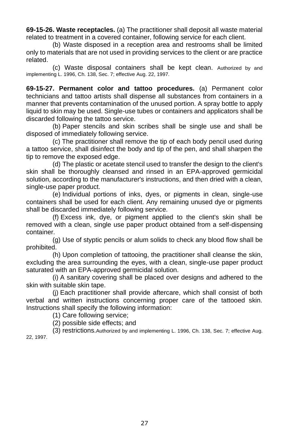**69-15-26. Waste receptacles.** (a) The practitioner shall deposit all waste material related to treatment in a covered container, following service for each client.

(b) Waste disposed in a reception area and restrooms shall be limited only to materials that are not used in providing services to the client or are practice related.

(c) Waste disposal containers shall be kept clean. Authorized by and implementing L. 1996, Ch. 138, Sec. 7; effective Aug. 22, 1997.

**69-15-27. Permanent color and tattoo procedures.** (a) Permanent color technicians and tattoo artists shall dispense all substances from containers in a manner that prevents contamination of the unused portion. A spray bottle to apply liquid to skin may be used. Single-use tubes or containers and applicators shall be discarded following the tattoo service.

(b) Paper stencils and skin scribes shall be single use and shall be disposed of immediately following service.

(c) The practitioner shall remove the tip of each body pencil used during a tattoo service, shall disinfect the body and tip of the pen, and shall sharpen the tip to remove the exposed edge.

(d) The plastic or acetate stencil used to transfer the design to the client's skin shall be thoroughly cleansed and rinsed in an EPA-approved germicidal solution, according to the manufacturer's instructions, and then dried with a clean, single-use paper product.

(e) Individual portions of inks, dyes, or pigments in clean, single-use containers shall be used for each client. Any remaining unused dye or pigments shall be discarded immediately following service.

(f) Excess ink, dye, or pigment applied to the client's skin shall be removed with a clean, single use paper product obtained from a self-dispensing container.

(g) Use of styptic pencils or alum solids to check any blood flow shall be prohibited.

(h) Upon completion of tattooing, the practitioner shall cleanse the skin, excluding the area surrounding the eyes, with a clean, single-use paper product saturated with an EPA-approved germicidal solution.

(i) A sanitary covering shall be placed over designs and adhered to the skin with suitable skin tape.

(j) Each practitioner shall provide aftercare, which shall consist of both verbal and written instructions concerning proper care of the tattooed skin. Instructions shall specify the following information:

(1) Care following service;

(2) possible side effects; and

(3) restrictions.Authorized by and implementing L. 1996, Ch. 138, Sec. 7; effective Aug. 22, 1997.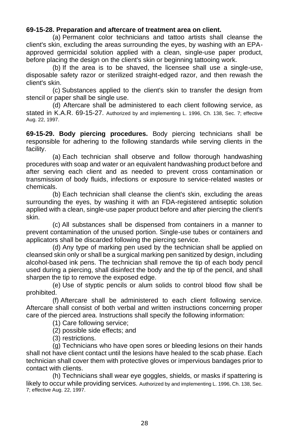### **69-15-28. Preparation and aftercare of treatment area on client.**

(a) Permanent color technicians and tattoo artists shall cleanse the client's skin, excluding the areas surrounding the eyes, by washing with an EPAapproved germicidal solution applied with a clean, single-use paper product, before placing the design on the client's skin or beginning tattooing work.

(b) If the area is to be shaved, the licensee shall use a single-use, disposable safety razor or sterilized straight-edged razor, and then rewash the client's skin.

(c) Substances applied to the client's skin to transfer the design from stencil or paper shall be single use.

(d) Aftercare shall be administered to each client following service, as stated in K.A.R. 69-15-27. Authorized by and implementing L. 1996, Ch. 138, Sec. 7; effective Aug. 22, 1997.

**69-15-29. Body piercing procedures.** Body piercing technicians shall be responsible for adhering to the following standards while serving clients in the facility.

(a) Each technician shall observe and follow thorough handwashing procedures with soap and water or an equivalent handwashing product before and after serving each client and as needed to prevent cross contamination or transmission of body fluids, infections or exposure to service-related wastes or chemicals.

(b) Each technician shall cleanse the client's skin, excluding the areas surrounding the eyes, by washing it with an FDA-registered antiseptic solution applied with a clean, single-use paper product before and after piercing the client's skin.

(c) All substances shall be dispensed from containers in a manner to prevent contamination of the unused portion. Single-use tubes or containers and applicators shall be discarded following the piercing service.

(d) Any type of marking pen used by the technician shall be applied on cleansed skin only or shall be a surgical marking pen sanitized by design, including alcohol-based ink pens. The technician shall remove the tip of each body pencil used during a piercing, shall disinfect the body and the tip of the pencil, and shall sharpen the tip to remove the exposed edge.

(e) Use of styptic pencils or alum solids to control blood flow shall be prohibited.

(f) Aftercare shall be administered to each client following service. Aftercare shall consist of both verbal and written instructions concerning proper care of the pierced area. Instructions shall specify the following information:

(1) Care following service;

(2) possible side effects; and

(3) restrictions.

(g) Technicians who have open sores or bleeding lesions on their hands shall not have client contact until the lesions have healed to the scab phase. Each technician shall cover them with protective gloves or impervious bandages prior to contact with clients.

(h) Technicians shall wear eye goggles, shields, or masks if spattering is likely to occur while providing services. Authorized by and implementing L. 1996, Ch. 138, Sec. 7; effective Aug. 22, 1997.